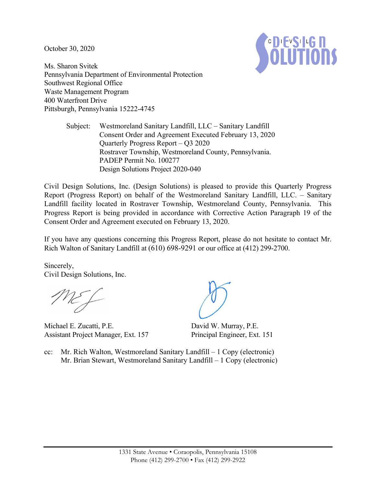October 30, 2020



Ms. Sharon Svitek Pennsylvania Department of Environmental Protection Southwest Regional Office Waste Management Program 400 Waterfront Drive Pittsburgh, Pennsylvania 15222-4745

> Subject: Westmoreland Sanitary Landfill, LLC – Sanitary Landfill Consent Order and Agreement Executed February 13, 2020 Quarterly Progress Report – Q3 2020 Rostraver Township, Westmoreland County, Pennsylvania. PADEP Permit No. 100277 Design Solutions Project 2020-040

Civil Design Solutions, Inc. (Design Solutions) is pleased to provide this Quarterly Progress Report (Progress Report) on behalf of the Westmoreland Sanitary Landfill, LLC. – Sanitary Landfill facility located in Rostraver Township, Westmoreland County, Pennsylvania. This Progress Report is being provided in accordance with Corrective Action Paragraph 19 of the Consent Order and Agreement executed on February 13, 2020.

If you have any questions concerning this Progress Report, please do not hesitate to contact Mr. Rich Walton of Sanitary Landfill at (610) 698-9291 or our office at (412) 299-2700.

Sincerely, Civil Design Solutions, Inc.

Michael E. Zucatti, P.E. Assistant Project Manager, Ext. 157

David W. Murray, P.E. Principal Engineer, Ext. 151

cc: Mr. Rich Walton, Westmoreland Sanitary Landfill – 1 Copy (electronic) Mr. Brian Stewart, Westmoreland Sanitary Landfill – 1 Copy (electronic)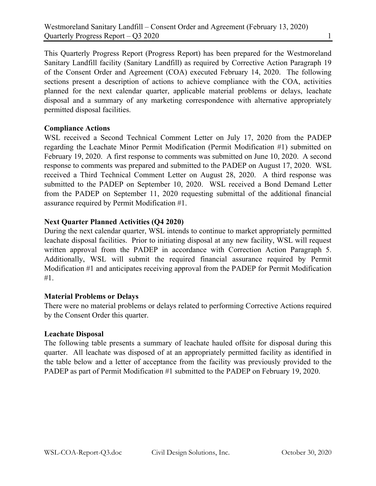This Quarterly Progress Report (Progress Report) has been prepared for the Westmoreland Sanitary Landfill facility (Sanitary Landfill) as required by Corrective Action Paragraph 19 of the Consent Order and Agreement (COA) executed February 14, 2020. The following sections present a description of actions to achieve compliance with the COA, activities planned for the next calendar quarter, applicable material problems or delays, leachate disposal and a summary of any marketing correspondence with alternative appropriately permitted disposal facilities.

## **Compliance Actions**

WSL received a Second Technical Comment Letter on July 17, 2020 from the PADEP regarding the Leachate Minor Permit Modification (Permit Modification #1) submitted on February 19, 2020. A first response to comments was submitted on June 10, 2020. A second response to comments was prepared and submitted to the PADEP on August 17, 2020. WSL received a Third Technical Comment Letter on August 28, 2020. A third response was submitted to the PADEP on September 10, 2020. WSL received a Bond Demand Letter from the PADEP on September 11, 2020 requesting submittal of the additional financial assurance required by Permit Modification #1.

## **Next Quarter Planned Activities (Q4 2020)**

During the next calendar quarter, WSL intends to continue to market appropriately permitted leachate disposal facilities. Prior to initiating disposal at any new facility, WSL will request written approval from the PADEP in accordance with Correction Action Paragraph 5. Additionally, WSL will submit the required financial assurance required by Permit Modification #1 and anticipates receiving approval from the PADEP for Permit Modification #1.

### **Material Problems or Delays**

There were no material problems or delays related to performing Corrective Actions required by the Consent Order this quarter.

### **Leachate Disposal**

The following table presents a summary of leachate hauled offsite for disposal during this quarter. All leachate was disposed of at an appropriately permitted facility as identified in the table below and a letter of acceptance from the facility was previously provided to the PADEP as part of Permit Modification #1 submitted to the PADEP on February 19, 2020.